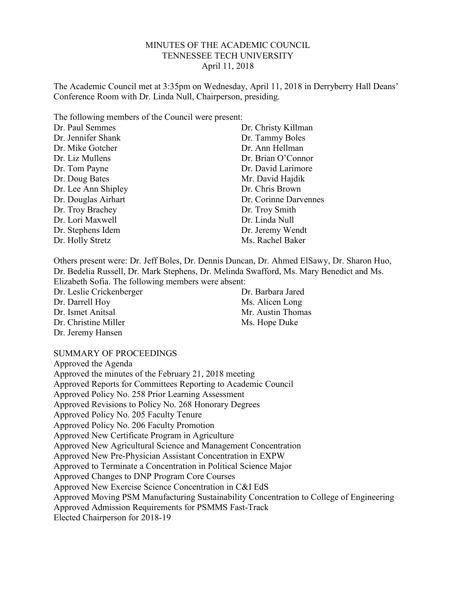#### MINUTES OF THE ACADEMIC COUNCIL TENNESSEE TECH UNIVERSITY April 11, 2018

The Academic Council met at 3:35pm on Wednesday, April 11, 2018 in Derryberry Hall Deans' Conference Room with Dr. Linda Null, Chairperson, presiding.

The following members of the Council were present:

| Dr. Paul Semmes     | Dr. Christy Killman   |
|---------------------|-----------------------|
| Dr. Jennifer Shank  | Dr. Tammy Boles       |
| Dr. Mike Gotcher    | Dr. Ann Hellman       |
| Dr. Liz Mullens     | Dr. Brian O'Connor    |
| Dr. Tom Payne       | Dr. David Larimore    |
| Dr. Doug Bates      | Mr. David Hajdik      |
| Dr. Lee Ann Shipley | Dr. Chris Brown       |
| Dr. Douglas Airhart | Dr. Corinne Darvennes |
| Dr. Troy Brachey    | Dr. Troy Smith        |
| Dr. Lori Maxwell    | Dr. Linda Null        |
| Dr. Stephens Idem   | Dr. Jeremy Wendt      |
| Dr. Holly Stretz    | Ms. Rachel Baker      |

Others present were: Dr. Jeff Boles, Dr. Dennis Duncan, Dr. Ahmed ElSawy, Dr. Sharon Huo, Dr. Bedelia Russell, Dr. Mark Stephens, Dr. Melinda Swafford, Ms. Mary Benedict and Ms. Elizabeth Sofia. The following members were absent:

Dr. Leslie Crickenberger Dr. Darrell Hoy Dr. Ismet Anitsal Dr. Christine Miller Dr. Jeremy Hansen

Dr. Barbara Jared Ms. Alicen Long Mr. Austin Thomas Ms. Hope Duke

SUMMARY OF PROCEEDINGS

Approved the Agenda Approved the minutes of the February 21, 2018 meeting Approved Reports for Committees Reporting to Academic Council Approved Policy No. 258 Prior Learning Assessment Approved Revisions to Policy No. 268 Honorary Degrees Approved Policy No. 205 Faculty Tenure Approved Policy No. 206 Faculty Promotion Approved New Certificate Program in Agriculture Approved New Agricultural Science and Management Concentration Approved New Pre-Physician Assistant Concentration in EXPW Approved to Terminate a Concentration in Political Science Major Approved Changes to DNP Program Core Courses Approved New Exercise Science Concentration in C&I EdS Approved Moving PSM Manufacturing Sustainability Concentration to College of Engineering Approved Admission Requirements for PSMMS Fast-Track Elected Chairperson for 2018-19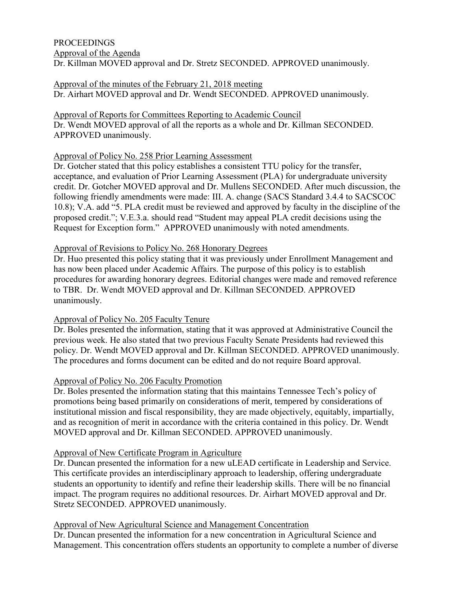## PROCEEDINGS Approval of the Agenda Dr. Killman MOVED approval and Dr. Stretz SECONDED. APPROVED unanimously.

## Approval of the minutes of the February 21, 2018 meeting Dr. Airhart MOVED approval and Dr. Wendt SECONDED. APPROVED unanimously.

Approval of Reports for Committees Reporting to Academic Council Dr. Wendt MOVED approval of all the reports as a whole and Dr. Killman SECONDED. APPROVED unanimously.

## Approval of Policy No. 258 Prior Learning Assessment

Dr. Gotcher stated that this policy establishes a consistent TTU policy for the transfer, acceptance, and evaluation of Prior Learning Assessment (PLA) for undergraduate university credit. Dr. Gotcher MOVED approval and Dr. Mullens SECONDED. After much discussion, the following friendly amendments were made: III. A. change (SACS Standard 3.4.4 to SACSCOC 10.8); V.A. add "5. PLA credit must be reviewed and approved by faculty in the discipline of the proposed credit."; V.E.3.a. should read "Student may appeal PLA credit decisions using the Request for Exception form." APPROVED unanimously with noted amendments.

# Approval of Revisions to Policy No. 268 Honorary Degrees

Dr. Huo presented this policy stating that it was previously under Enrollment Management and has now been placed under Academic Affairs. The purpose of this policy is to establish procedures for awarding honorary degrees. Editorial changes were made and removed reference to TBR. Dr. Wendt MOVED approval and Dr. Killman SECONDED. APPROVED unanimously.

## Approval of Policy No. 205 Faculty Tenure

Dr. Boles presented the information, stating that it was approved at Administrative Council the previous week. He also stated that two previous Faculty Senate Presidents had reviewed this policy. Dr. Wendt MOVED approval and Dr. Killman SECONDED. APPROVED unanimously. The procedures and forms document can be edited and do not require Board approval.

# Approval of Policy No. 206 Faculty Promotion

Dr. Boles presented the information stating that this maintains Tennessee Tech's policy of promotions being based primarily on considerations of merit, tempered by considerations of institutional mission and fiscal responsibility, they are made objectively, equitably, impartially, and as recognition of merit in accordance with the criteria contained in this policy. Dr. Wendt MOVED approval and Dr. Killman SECONDED. APPROVED unanimously.

## Approval of New Certificate Program in Agriculture

Dr. Duncan presented the information for a new uLEAD certificate in Leadership and Service. This certificate provides an interdisciplinary approach to leadership, offering undergraduate students an opportunity to identify and refine their leadership skills. There will be no financial impact. The program requires no additional resources. Dr. Airhart MOVED approval and Dr. Stretz SECONDED. APPROVED unanimously.

## Approval of New Agricultural Science and Management Concentration

Dr. Duncan presented the information for a new concentration in Agricultural Science and Management. This concentration offers students an opportunity to complete a number of diverse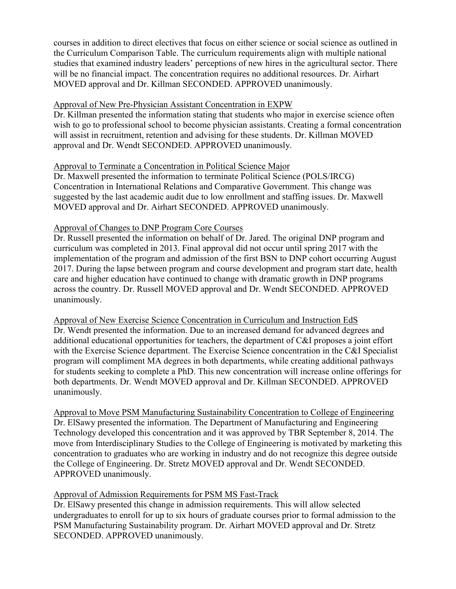courses in addition to direct electives that focus on either science or social science as outlined in the Curriculum Comparison Table. The curriculum requirements align with multiple national studies that examined industry leaders' perceptions of new hires in the agricultural sector. There will be no financial impact. The concentration requires no additional resources. Dr. Airhart MOVED approval and Dr. Killman SECONDED. APPROVED unanimously.

#### Approval of New Pre-Physician Assistant Concentration in EXPW

Dr. Killman presented the information stating that students who major in exercise science often wish to go to professional school to become physician assistants. Creating a formal concentration will assist in recruitment, retention and advising for these students. Dr. Killman MOVED approval and Dr. Wendt SECONDED. APPROVED unanimously.

#### Approval to Terminate a Concentration in Political Science Major

Dr. Maxwell presented the information to terminate Political Science (POLS/IRCG) Concentration in International Relations and Comparative Government. This change was suggested by the last academic audit due to low enrollment and staffing issues. Dr. Maxwell MOVED approval and Dr. Airhart SECONDED. APPROVED unanimously.

### Approval of Changes to DNP Program Core Courses

Dr. Russell presented the information on behalf of Dr. Jared. The original DNP program and curriculum was completed in 2013. Final approval did not occur until spring 2017 with the implementation of the program and admission of the first BSN to DNP cohort occurring August 2017. During the lapse between program and course development and program start date, health care and higher education have continued to change with dramatic growth in DNP programs across the country. Dr. Russell MOVED approval and Dr. Wendt SECONDED. APPROVED unanimously.

Approval of New Exercise Science Concentration in Curriculum and Instruction EdS Dr. Wendt presented the information. Due to an increased demand for advanced degrees and additional educational opportunities for teachers, the department of C&I proposes a joint effort with the Exercise Science department. The Exercise Science concentration in the C&I Specialist program will compliment MA degrees in both departments, while creating additional pathways for students seeking to complete a PhD. This new concentration will increase online offerings for both departments. Dr. Wendt MOVED approval and Dr. Killman SECONDED. APPROVED unanimously.

Approval to Move PSM Manufacturing Sustainability Concentration to College of Engineering Dr. ElSawy presented the information. The Department of Manufacturing and Engineering Technology developed this concentration and it was approved by TBR September 8, 2014. The move from Interdisciplinary Studies to the College of Engineering is motivated by marketing this concentration to graduates who are working in industry and do not recognize this degree outside the College of Engineering. Dr. Stretz MOVED approval and Dr. Wendt SECONDED. APPROVED unanimously.

### Approval of Admission Requirements for PSM MS Fast-Track

Dr. ElSawy presented this change in admission requirements. This will allow selected undergraduates to enroll for up to six hours of graduate courses prior to formal admission to the PSM Manufacturing Sustainability program. Dr. Airhart MOVED approval and Dr. Stretz SECONDED. APPROVED unanimously.